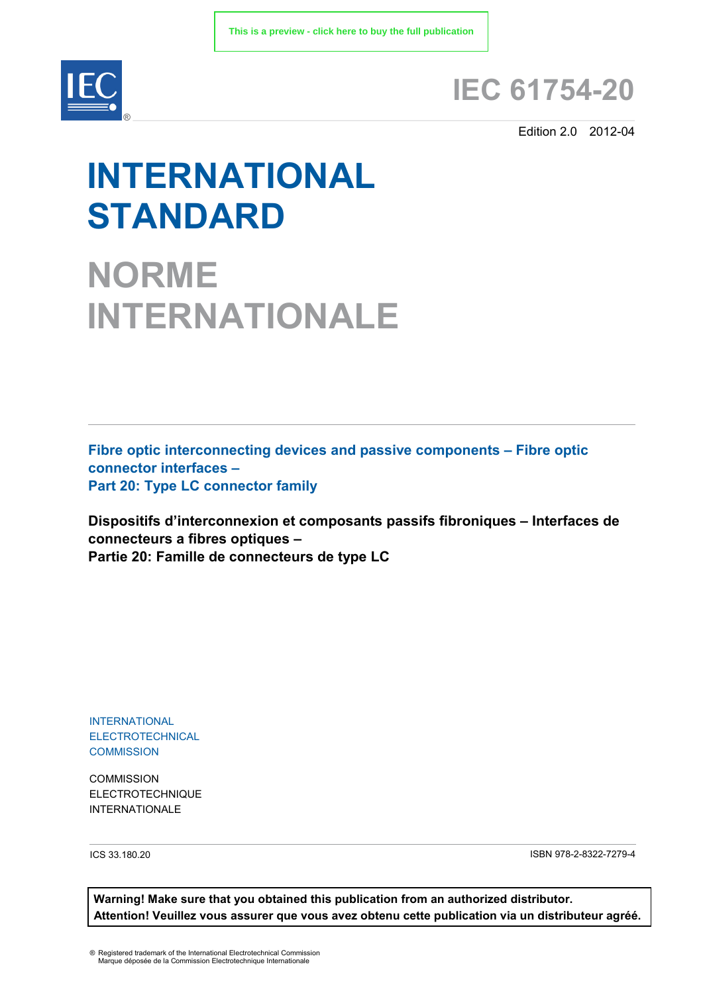

# **IEC 61754-20**

Edition 2.0 2012-04

# **INTERNATIONAL STANDARD**

**NORME INTERNATIONALE**

**Fibre optic interconnecting devices and passive components – Fibre optic connector interfaces – Part 20: Type LC connector family**

**Dispositifs d'interconnexion et composants passifs fibroniques – Interfaces de connecteurs a fibres optiques – Partie 20: Famille de connecteurs de type LC**

INTERNATIONAL **ELECTROTECHNICAL COMMISSION** 

**COMMISSION** ELECTROTECHNIQUE INTERNATIONALE

ICS 33.180.20 ISBN 978-2-8322-7279-4

**Warning! Make sure that you obtained this publication from an authorized distributor. Attention! Veuillez vous assurer que vous avez obtenu cette publication via un distributeur agréé.**

® Registered trademark of the International Electrotechnical Commission Marque déposée de la Commission Electrotechnique Internationale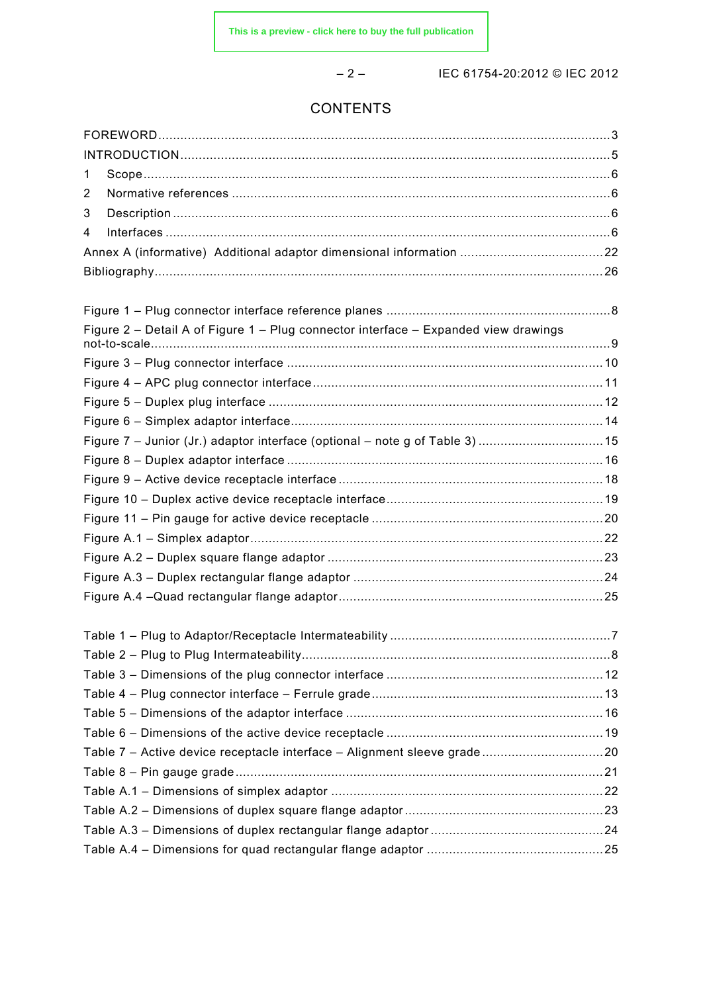# – 2 – IEC 61754-20:2012 © IEC 2012

# **CONTENTS**

| 1                                                                                   |  |
|-------------------------------------------------------------------------------------|--|
| 2                                                                                   |  |
| 3                                                                                   |  |
| 4                                                                                   |  |
| Annex A (informative) Additional adaptor dimensional information 22                 |  |
|                                                                                     |  |
|                                                                                     |  |
| Figure 2 – Detail A of Figure 1 – Plug connector interface – Expanded view drawings |  |
|                                                                                     |  |
|                                                                                     |  |
|                                                                                     |  |
|                                                                                     |  |
| Figure 7 - Junior (Jr.) adaptor interface (optional - note g of Table 3) 15         |  |
|                                                                                     |  |
|                                                                                     |  |
|                                                                                     |  |
|                                                                                     |  |
|                                                                                     |  |
|                                                                                     |  |
|                                                                                     |  |
|                                                                                     |  |
|                                                                                     |  |
|                                                                                     |  |
|                                                                                     |  |
|                                                                                     |  |
|                                                                                     |  |
|                                                                                     |  |
|                                                                                     |  |
|                                                                                     |  |
|                                                                                     |  |
|                                                                                     |  |
|                                                                                     |  |
|                                                                                     |  |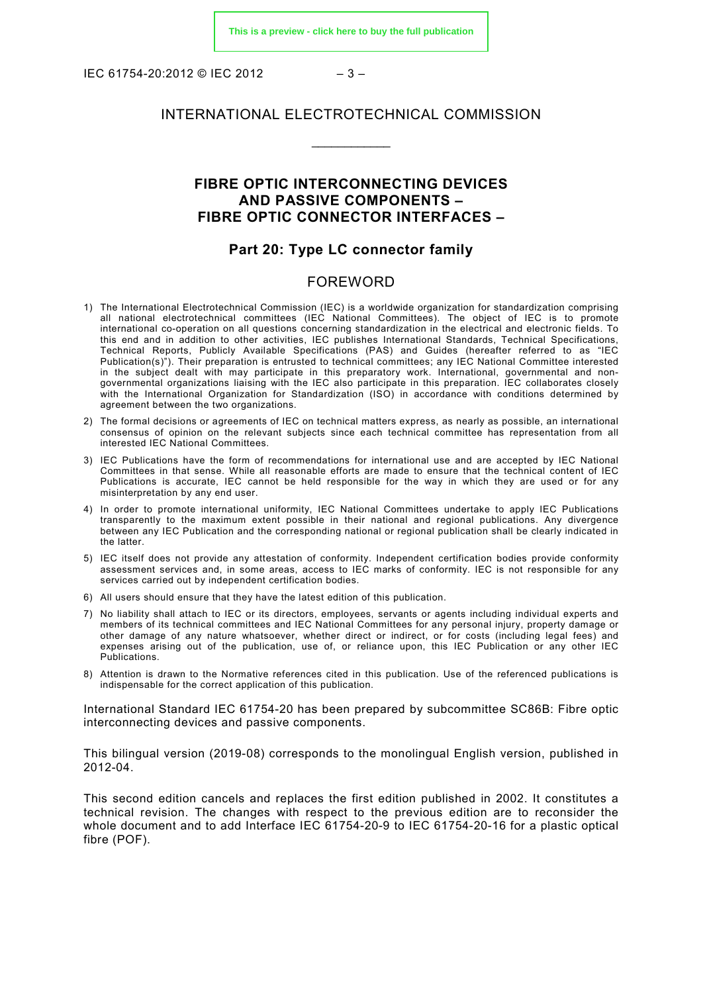IFC 61754-20:2012 © IFC 2012  $-3-$ 

# INTERNATIONAL ELECTROTECHNICAL COMMISSION

\_\_\_\_\_\_\_\_\_\_\_\_

# **FIBRE OPTIC INTERCONNECTING DEVICES AND PASSIVE COMPONENTS – FIBRE OPTIC CONNECTOR INTERFACES –**

#### **Part 20: Type LC connector family**

### FOREWORD

- 1) The International Electrotechnical Commission (IEC) is a worldwide organization for standardization comprising all national electrotechnical committees (IEC National Committees). The object of IEC is to promote international co-operation on all questions concerning standardization in the electrical and electronic fields. To this end and in addition to other activities, IEC publishes International Standards, Technical Specifications, Technical Reports, Publicly Available Specifications (PAS) and Guides (hereafter referred to as "IEC Publication(s)"). Their preparation is entrusted to technical committees; any IEC National Committee interested in the subject dealt with may participate in this preparatory work. International, governmental and nongovernmental organizations liaising with the IEC also participate in this preparation. IEC collaborates closely with the International Organization for Standardization (ISO) in accordance with conditions determined by agreement between the two organizations.
- 2) The formal decisions or agreements of IEC on technical matters express, as nearly as possible, an international consensus of opinion on the relevant subjects since each technical committee has representation from all interested IEC National Committees.
- 3) IEC Publications have the form of recommendations for international use and are accepted by IEC National Committees in that sense. While all reasonable efforts are made to ensure that the technical content of IEC Publications is accurate, IEC cannot be held responsible for the way in which they are used or for any misinterpretation by any end user.
- 4) In order to promote international uniformity, IEC National Committees undertake to apply IEC Publications transparently to the maximum extent possible in their national and regional publications. Any divergence between any IEC Publication and the corresponding national or regional publication shall be clearly indicated in the latter.
- 5) IEC itself does not provide any attestation of conformity. Independent certification bodies provide conformity assessment services and, in some areas, access to IEC marks of conformity. IEC is not responsible for any services carried out by independent certification bodies.
- 6) All users should ensure that they have the latest edition of this publication.
- 7) No liability shall attach to IEC or its directors, employees, servants or agents including individual experts and members of its technical committees and IEC National Committees for any personal injury, property damage or other damage of any nature whatsoever, whether direct or indirect, or for costs (including legal fees) and expenses arising out of the publication, use of, or reliance upon, this IEC Publication or any other IEC Publications.
- 8) Attention is drawn to the Normative references cited in this publication. Use of the referenced publications is indispensable for the correct application of this publication.

International Standard IEC 61754-20 has been prepared by subcommittee SC86B: Fibre optic interconnecting devices and passive components.

This bilingual version (2019-08) corresponds to the monolingual English version, published in 2012-04.

This second edition cancels and replaces the first edition published in 2002. It constitutes a technical revision. The changes with respect to the previous edition are to reconsider the whole document and to add Interface IEC 61754-20-9 to IEC 61754-20-16 for a plastic optical fibre (POF).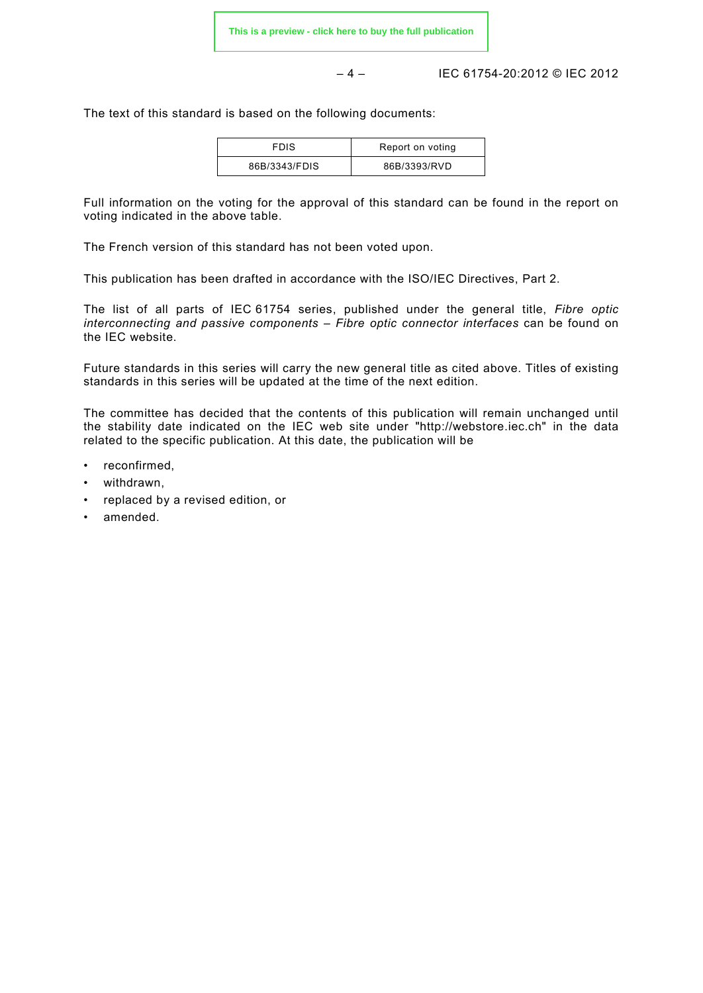– 4 – IEC 61754-20:2012 © IEC 2012

The text of this standard is based on the following documents:

| <b>FDIS</b>   | Report on voting |
|---------------|------------------|
| 86B/3343/FDIS | 86B/3393/RVD     |

Full information on the voting for the approval of this standard can be found in the report on voting indicated in the above table.

The French version of this standard has not been voted upon.

This publication has been drafted in accordance with the ISO/IEC Directives, Part 2.

The list of all parts of IEC 61754 series, published under the general title, *Fibre optic interconnecting and passive components – Fibre optic connector interfaces can be found on* the IEC website.

Future standards in this series will carry the new general title as cited above. Titles of existing standards in this series will be updated at the time of the next edition.

The committee has decided that the contents of this publication will remain unchanged until the stability date indicated on the IEC web site under "http://webstore.iec.ch" in the data related to the specific publication. At this date, the publication will be

- reconfirmed,
- withdrawn,
- replaced by a revised edition, or
- amended.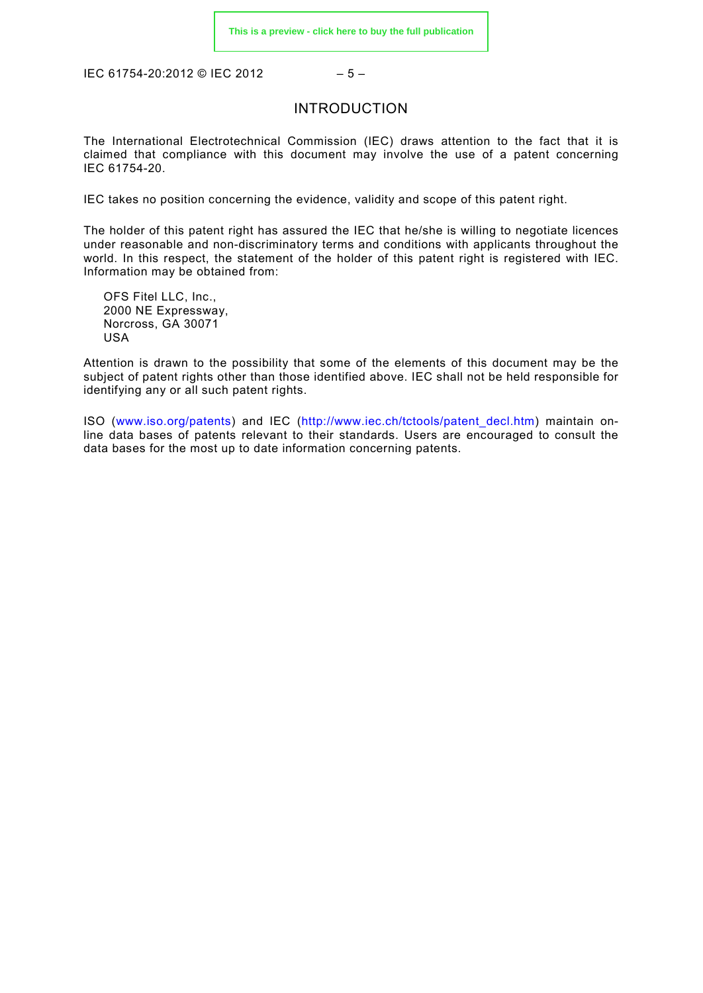IEC 61754-20:2012 © IEC 2012 – 5 –

# INTRODUCTION

The International Electrotechnical Commission (IEC) draws attention to the fact that it is claimed that compliance with this document may involve the use of a patent concerning IEC 61754-20.

IEC takes no position concerning the evidence, validity and scope of this patent right.

The holder of this patent right has assured the IEC that he/she is willing to negotiate licences under reasonable and non-discriminatory terms and conditions with applicants throughout the world. In this respect, the statement of the holder of this patent right is registered with IEC. Information may be obtained from:

OFS Fitel LLC, Inc., 2000 NE Expressway, Norcross, GA 30071 USA

Attention is drawn to the possibility that some of the elements of this document may be the subject of patent rights other than those identified above. IEC shall not be held responsible for identifying any or all such patent rights.

ISO [\(www.iso.org/patents\)](http://www.iso.org/patents) and IEC [\(http://www.iec.ch/tctools/patent\\_decl.htm\)](http://www.iec.ch/tctools/patent_decl.htm) maintain online data bases of patents relevant to their standards. Users are encouraged to consult the data bases for the most up to date information concerning patents.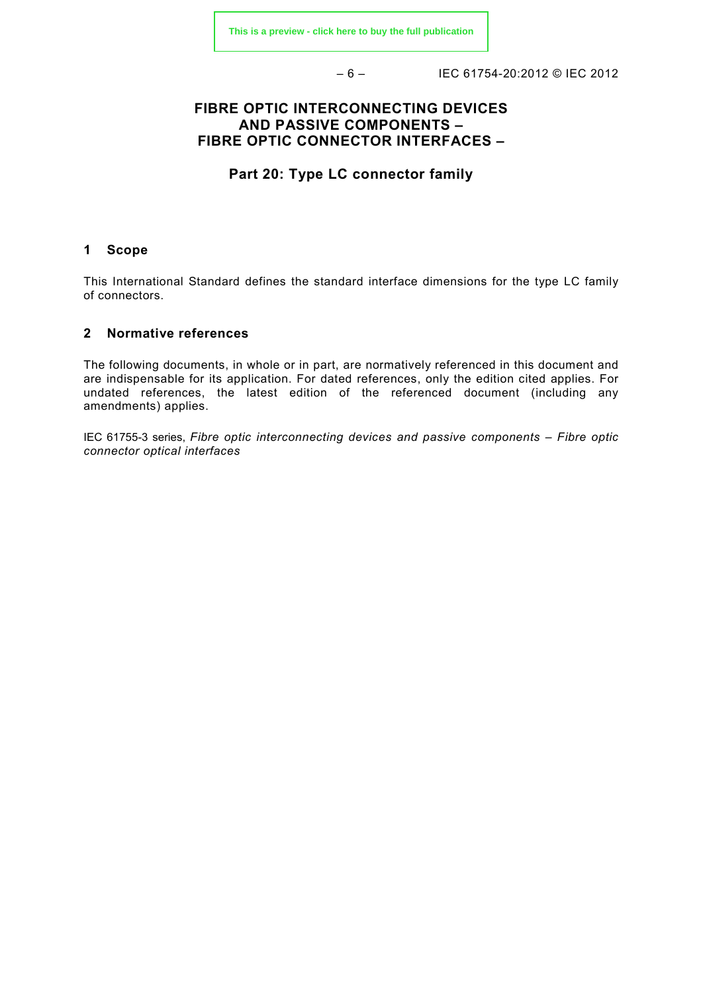– 6 – IEC 61754-20:2012 © IEC 2012

# **FIBRE OPTIC INTERCONNECTING DEVICES AND PASSIVE COMPONENTS – FIBRE OPTIC CONNECTOR INTERFACES –**

**Part 20: Type LC connector family**

# **1 Scope**

This International Standard defines the standard interface dimensions for the type LC family of connectors.

# **2 Normative references**

The following documents, in whole or in part, are normatively referenced in this document and are indispensable for its application. For dated references, only the edition cited applies. For undated references, the latest edition of the referenced document (including any amendments) applies.

IEC 61755-3 series, *Fibre optic interconnecting devices and passive components – Fibre optic connector optical interfaces*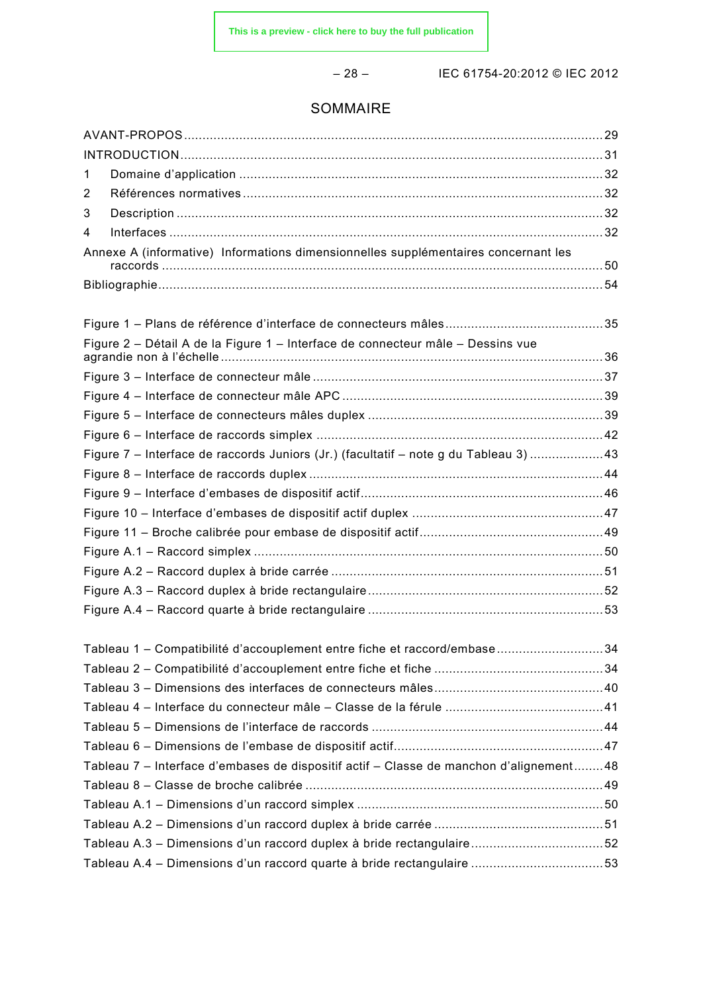– 28 – IEC 61754-20:2012 © IEC 2012

# SOMMAIRE

| 1 |                                                                                        |  |
|---|----------------------------------------------------------------------------------------|--|
| 2 |                                                                                        |  |
| 3 |                                                                                        |  |
| 4 |                                                                                        |  |
|   | Annexe A (informative) Informations dimensionnelles supplémentaires concernant les     |  |
|   |                                                                                        |  |
|   |                                                                                        |  |
|   |                                                                                        |  |
|   |                                                                                        |  |
|   | Figure 2 – Détail A de la Figure 1 – Interface de connecteur mâle – Dessins vue        |  |
|   |                                                                                        |  |
|   |                                                                                        |  |
|   |                                                                                        |  |
|   |                                                                                        |  |
|   | Figure 7 - Interface de raccords Juniors (Jr.) (facultatif - note g du Tableau 3) 43   |  |
|   |                                                                                        |  |
|   |                                                                                        |  |
|   |                                                                                        |  |
|   |                                                                                        |  |
|   |                                                                                        |  |
|   |                                                                                        |  |
|   |                                                                                        |  |
|   |                                                                                        |  |
|   |                                                                                        |  |
|   | Tableau 1 - Compatibilité d'accouplement entre fiche et raccord/embase34               |  |
|   |                                                                                        |  |
|   |                                                                                        |  |
|   |                                                                                        |  |
|   |                                                                                        |  |
|   |                                                                                        |  |
|   | Tableau 7 - Interface d'embases de dispositif actif - Classe de manchon d'alignement48 |  |
|   |                                                                                        |  |
|   |                                                                                        |  |
|   |                                                                                        |  |
|   | Tableau A.3 - Dimensions d'un raccord duplex à bride rectangulaire52                   |  |
|   | Tableau A.4 - Dimensions d'un raccord quarte à bride rectangulaire 53                  |  |
|   |                                                                                        |  |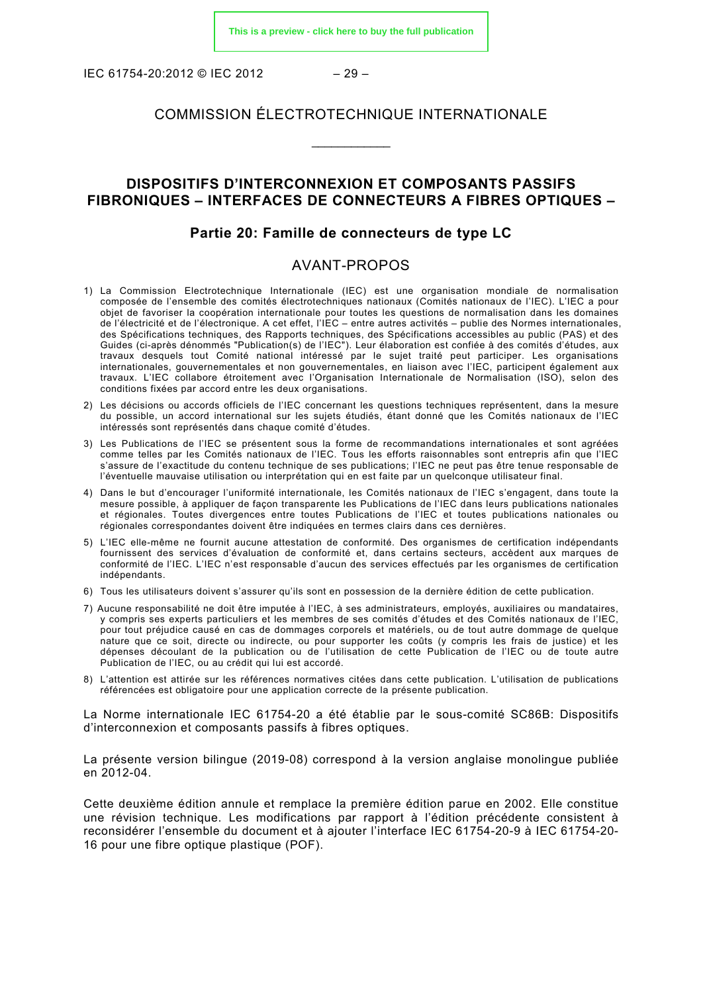IFC 61754-20:2012 © IFC 2012 – 29 –

# COMMISSION ÉLECTROTECHNIQUE INTERNATIONALE

\_\_\_\_\_\_\_\_\_\_\_\_

# **DISPOSITIFS D'INTERCONNEXION ET COMPOSANTS PASSIFS FIBRONIQUES – INTERFACES DE CONNECTEURS A FIBRES OPTIQUES –**

#### **Partie 20: Famille de connecteurs de type LC**

#### AVANT-PROPOS

- <span id="page-7-0"></span>1) La Commission Electrotechnique Internationale (IEC) est une organisation mondiale de normalisation composée de l'ensemble des comités électrotechniques nationaux (Comités nationaux de l'IEC). L'IEC a pour objet de favoriser la coopération internationale pour toutes les questions de normalisation dans les domaines de l'électricité et de l'électronique. A cet effet, l'IEC – entre autres activités – publie des Normes internationales, des Spécifications techniques, des Rapports techniques, des Spécifications accessibles au public (PAS) et des Guides (ci-après dénommés "Publication(s) de l'IEC"). Leur élaboration est confiée à des comités d'études, aux travaux desquels tout Comité national intéressé par le sujet traité peut participer. Les organisations internationales, gouvernementales et non gouvernementales, en liaison avec l'IEC, participent également aux travaux. L'IEC collabore étroitement avec l'Organisation Internationale de Normalisation (ISO), selon des conditions fixées par accord entre les deux organisations.
- 2) Les décisions ou accords officiels de l'IEC concernant les questions techniques représentent, dans la mesure du possible, un accord international sur les sujets étudiés, étant donné que les Comités nationaux de l'IEC intéressés sont représentés dans chaque comité d'études.
- 3) Les Publications de l'IEC se présentent sous la forme de recommandations internationales et sont agréées comme telles par les Comités nationaux de l'IEC. Tous les efforts raisonnables sont entrepris afin que l'IEC s'assure de l'exactitude du contenu technique de ses publications; l'IEC ne peut pas être tenue responsable de l'éventuelle mauvaise utilisation ou interprétation qui en est faite par un quelconque utilisateur final.
- 4) Dans le but d'encourager l'uniformité internationale, les Comités nationaux de l'IEC s'engagent, dans toute la mesure possible, à appliquer de façon transparente les Publications de l'IEC dans leurs publications nationales et régionales. Toutes divergences entre toutes Publications de l'IEC et toutes publications nationales ou régionales correspondantes doivent être indiquées en termes clairs dans ces dernières.
- 5) L'IEC elle-même ne fournit aucune attestation de conformité. Des organismes de certification indépendants fournissent des services d'évaluation de conformité et, dans certains secteurs, accèdent aux marques de conformité de l'IEC. L'IEC n'est responsable d'aucun des services effectués par les organismes de certification indépendants.
- 6) Tous les utilisateurs doivent s'assurer qu'ils sont en possession de la dernière édition de cette publication.
- 7) Aucune responsabilité ne doit être imputée à l'IEC, à ses administrateurs, employés, auxiliaires ou mandataires, y compris ses experts particuliers et les membres de ses comités d'études et des Comités nationaux de l'IEC, pour tout préjudice causé en cas de dommages corporels et matériels, ou de tout autre dommage de quelque nature que ce soit, directe ou indirecte, ou pour supporter les coûts (y compris les frais de justice) et les dépenses découlant de la publication ou de l'utilisation de cette Publication de l'IEC ou de toute autre Publication de l'IEC, ou au crédit qui lui est accordé.
- 8) L'attention est attirée sur les références normatives citées dans cette publication. L'utilisation de publications référencées est obligatoire pour une application correcte de la présente publication.

La Norme internationale IEC 61754-20 a été établie par le sous-comité SC86B: Dispositifs d'interconnexion et composants passifs à fibres optiques.

La présente version bilingue (2019-08) correspond à la version anglaise monolingue publiée en 2012-04.

Cette deuxième édition annule et remplace la première édition parue en 2002. Elle constitue une révision technique. Les modifications par rapport à l'édition précédente consistent à reconsidérer l'ensemble du document et à ajouter l'interface IEC 61754-20-9 à IEC 61754-20- 16 pour une fibre optique plastique (POF).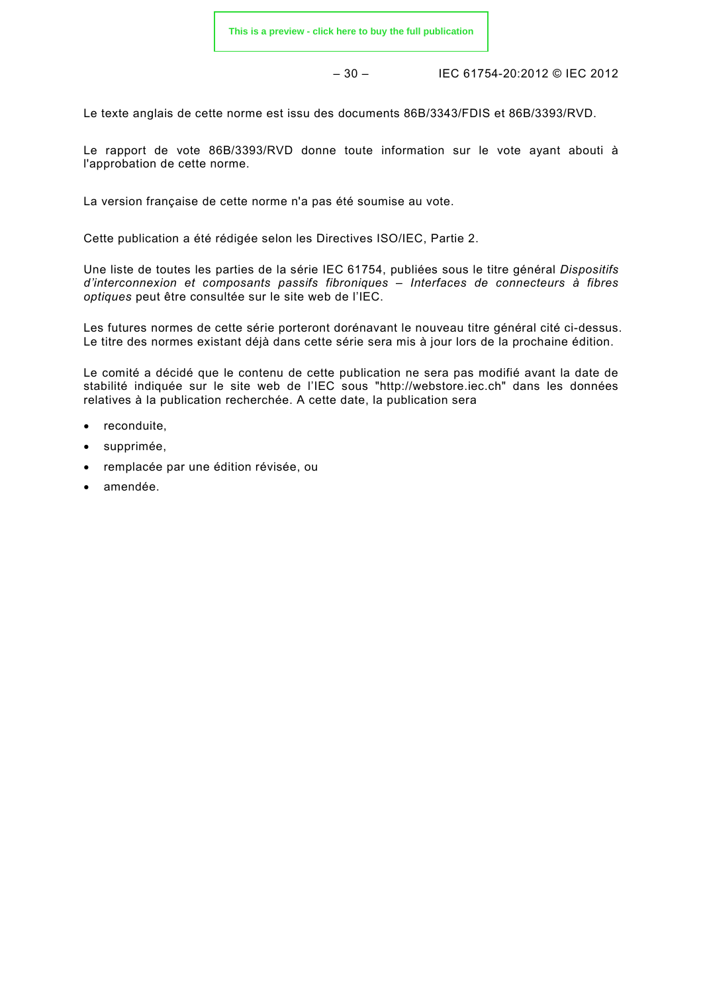– 30 – IEC 61754-20:2012 © IEC 2012

Le texte anglais de cette norme est issu des documents 86B/3343/FDIS et 86B/3393/RVD.

Le rapport de vote 86B/3393/RVD donne toute information sur le vote ayant abouti à l'approbation de cette norme.

La version française de cette norme n'a pas été soumise au vote.

Cette publication a été rédigée selon les Directives ISO/IEC, Partie 2.

Une liste de toutes les parties de la série IEC 61754, publiées sous le titre général *Dispositifs d'interconnexion et composants passifs fibroniques – Interfaces de connecteurs à fibres optiques* peut être consultée sur le site web de l'IEC.

Les futures normes de cette série porteront dorénavant le nouveau titre général cité ci-dessus. Le titre des normes existant déjà dans cette série sera mis à jour lors de la prochaine édition.

Le comité a décidé que le contenu de cette publication ne sera pas modifié avant la date de stabilité indiquée sur le site web de l'IEC sous "http://webstore.iec.ch" dans les données relatives à la publication recherchée. A cette date, la publication sera

- reconduite,
- supprimée,
- remplacée par une édition révisée, ou
- amendée.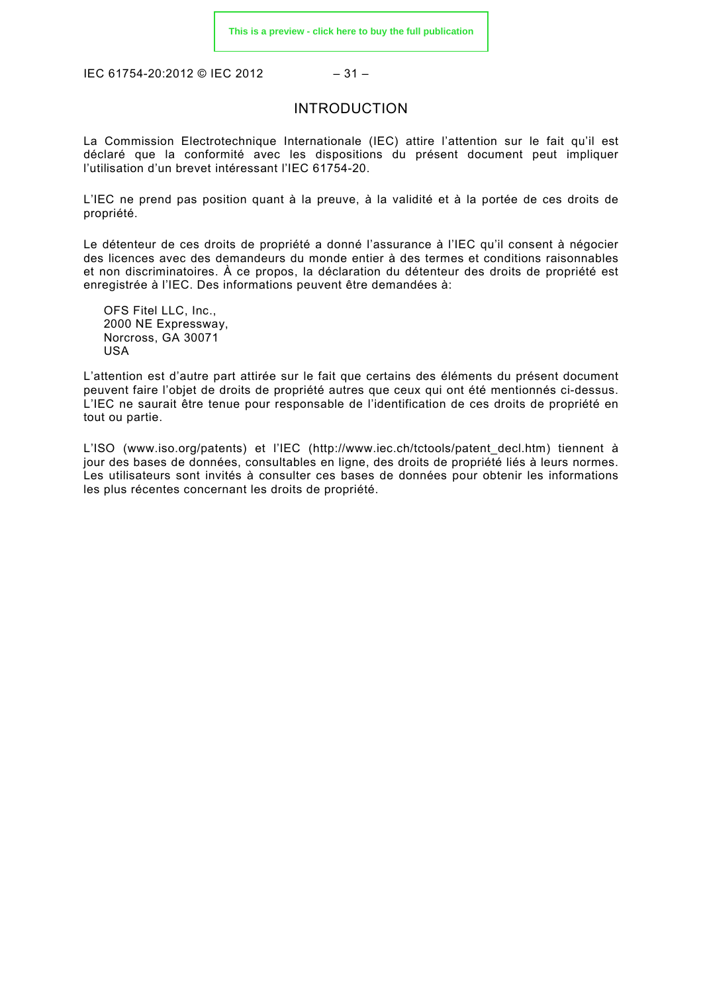<span id="page-9-0"></span>IEC 61754-20:2012 © IEC 2012 – 31 –

# INTRODUCTION

La Commission Electrotechnique Internationale (IEC) attire l'attention sur le fait qu'il est déclaré que la conformité avec les dispositions du présent document peut impliquer l'utilisation d'un brevet intéressant l'IEC 61754-20.

L'IEC ne prend pas position quant à la preuve, à la validité et à la portée de ces droits de propriété.

Le détenteur de ces droits de propriété a donné l'assurance à l'IEC qu'il consent à négocier des licences avec des demandeurs du monde entier à des termes et conditions raisonnables et non discriminatoires. À ce propos, la déclaration du détenteur des droits de propriété est enregistrée à l'IEC. Des informations peuvent être demandées à:

OFS Fitel LLC, Inc., 2000 NE Expressway, Norcross, GA 30071 USA

L'attention est d'autre part attirée sur le fait que certains des éléments du présent document peuvent faire l'objet de droits de propriété autres que ceux qui ont été mentionnés ci-dessus. L'IEC ne saurait être tenue pour responsable de l'identification de ces droits de propriété en tout ou partie.

L'ISO (www.iso.org/patents) et l'IEC [\(http://www.iec.ch/tctools/patent\\_decl.htm\)](http://www.iec.ch/tctools/patent_decl.htm) tiennent à jour des bases de données, consultables en ligne, des droits de propriété liés à leurs normes. Les utilisateurs sont invités à consulter ces bases de données pour obtenir les informations les plus récentes concernant les droits de propriété.